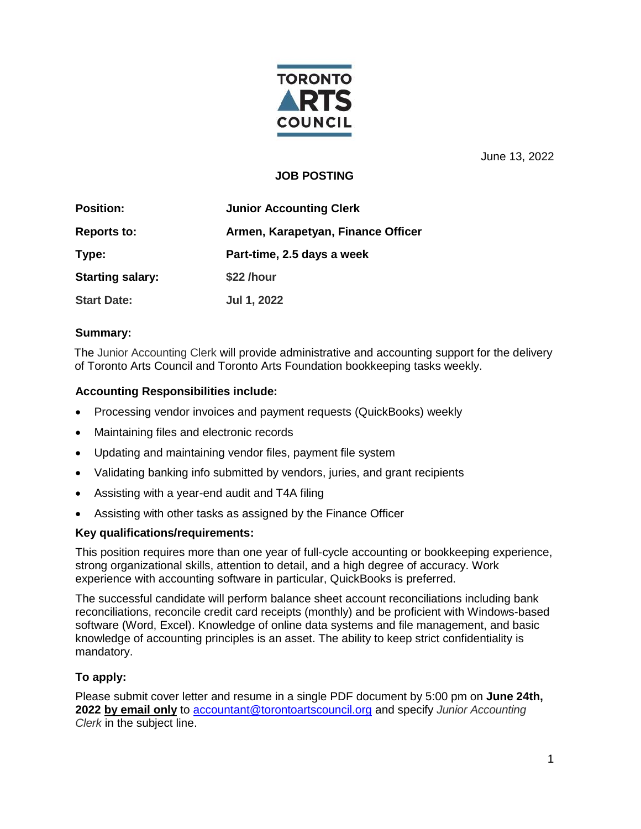

June 13, 2022

# **JOB POSTING**

| <b>Position:</b>        | <b>Junior Accounting Clerk</b>     |
|-------------------------|------------------------------------|
| <b>Reports to:</b>      | Armen, Karapetyan, Finance Officer |
| Type:                   | Part-time, 2.5 days a week         |
| <b>Starting salary:</b> | \$22 /hour                         |
| <b>Start Date:</b>      | Jul 1, 2022                        |

## **Summary:**

The Junior Accounting Clerk will provide administrative and accounting support for the delivery of Toronto Arts Council and Toronto Arts Foundation bookkeeping tasks weekly.

## **Accounting Responsibilities include:**

- Processing vendor invoices and payment requests (QuickBooks) weekly
- Maintaining files and electronic records
- Updating and maintaining vendor files, payment file system
- Validating banking info submitted by vendors, juries, and grant recipients
- Assisting with a year-end audit and T4A filing
- Assisting with other tasks as assigned by the Finance Officer

### **Key qualifications/requirements:**

This position requires more than one year of full-cycle accounting or bookkeeping experience, strong organizational skills, attention to detail, and a high degree of accuracy. Work experience with accounting software in particular, QuickBooks is preferred.

The successful candidate will perform balance sheet account reconciliations including bank reconciliations, reconcile credit card receipts (monthly) and be proficient with Windows-based software (Word, Excel). Knowledge of online data systems and file management, and basic knowledge of accounting principles is an asset. The ability to keep strict confidentiality is mandatory.

## **To apply:**

Please submit cover letter and resume in a single PDF document by 5:00 pm on **June 24th, 2022 by email only** to [accountant@torontoartscouncil.org](mailto:accountant@torontoartscouncil.org) and specify *Junior Accounting Clerk* in the subject line.